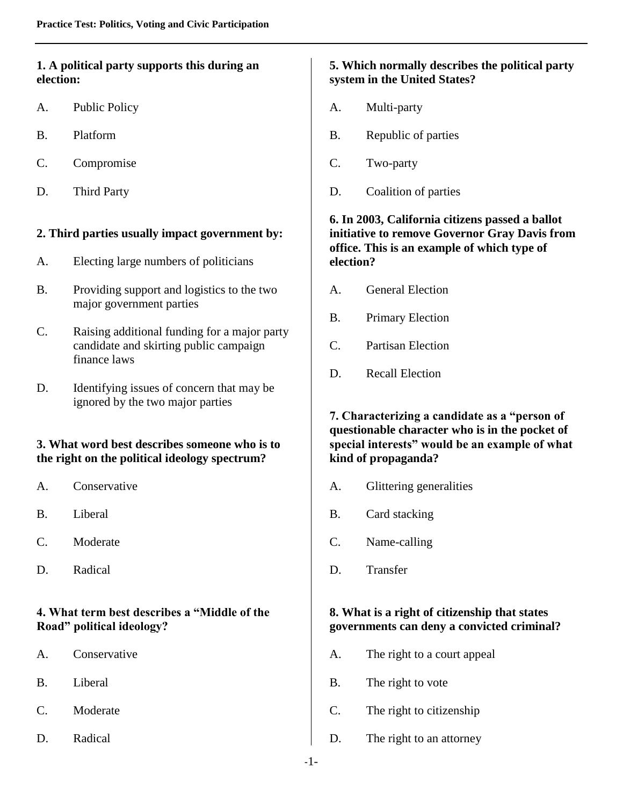### **1. A political party supports this during an election:**

- A. Public Policy
- B. Platform
- C. Compromise
- D. Third Party

### **2. Third parties usually impact government by:**

- A. Electing large numbers of politicians
- B. Providing support and logistics to the two major government parties
- C. Raising additional funding for a major party candidate and skirting public campaign finance laws
- D. Identifying issues of concern that may be ignored by the two major parties

### **3. What word best describes someone who is to the right on the political ideology spectrum?**

- A. Conservative
- B. Liberal
- C. Moderate
- D. Radical

### **4. What term best describes a "Middle of the Road" political ideology?**

- A. Conservative
- B. Liberal
- C. Moderate
- D. Radical

### **5. Which normally describes the political party system in the United States?**

- A. Multi-party
- B. Republic of parties
- C. Two-party
- D. Coalition of parties

### **6. In 2003, California citizens passed a ballot initiative to remove Governor Gray Davis from office. This is an example of which type of election?**

- A. General Election
- B. Primary Election
- C. Partisan Election
- D. Recall Election

### **7. Characterizing a candidate as a "person of questionable character who is in the pocket of special interests" would be an example of what kind of propaganda?**

- A. Glittering generalities
- B. Card stacking
- C. Name-calling
- D. Transfer

### **8. What is a right of citizenship that states governments can deny a convicted criminal?**

- A. The right to a court appeal
- B. The right to vote
- C. The right to citizenship
- D. The right to an attorney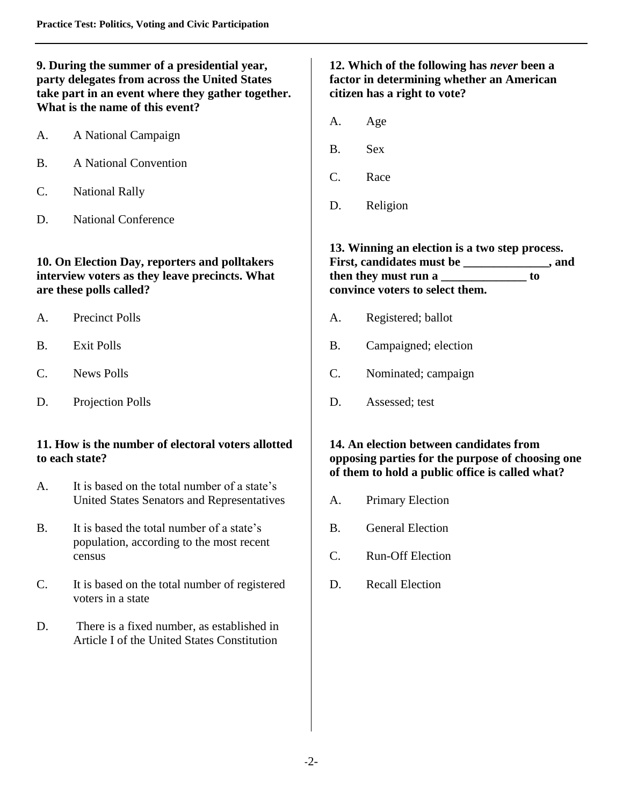### **9. During the summer of a presidential year, party delegates from across the United States take part in an event where they gather together. What is the name of this event?**

- A. A National Campaign
- B. A National Convention
- C. National Rally
- D. National Conference

### **10. On Election Day, reporters and polltakers interview voters as they leave precincts. What are these polls called?**

- A. Precinct Polls
- B. Exit Polls
- C. News Polls
- D. Projection Polls

### **11. How is the number of electoral voters allotted to each state?**

- A. It is based on the total number of a state's United States Senators and Representatives
- B. It is based the total number of a state's population, according to the most recent census
- C. It is based on the total number of registered voters in a state
- D. There is a fixed number, as established in Article I of the United States Constitution

### **12. Which of the following has** *never* **been a factor in determining whether an American citizen has a right to vote?**

- A. Age
- B. Sex
- C. Race
- D. Religion

#### **13. Winning an election is a two step process. First, candidates must be \_\_\_\_\_\_\_\_\_\_\_\_\_\_, and then they must run a to convince voters to select them.**

- A. Registered; ballot
- B. Campaigned; election
- C. Nominated; campaign
- D. Assessed; test

### **14. An election between candidates from opposing parties for the purpose of choosing one of them to hold a public office is called what?**

- A. Primary Election
- B. General Election
- C. Run-Off Election
- D. Recall Election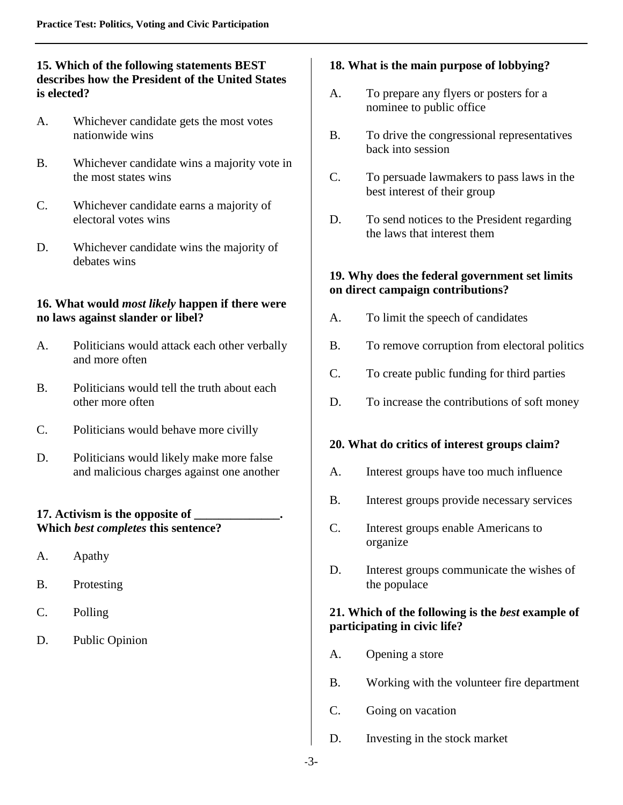### **15. Which of the following statements BEST describes how the President of the United States is elected?**

- A. Whichever candidate gets the most votes nationwide wins
- B. Whichever candidate wins a majority vote in the most states wins
- C. Whichever candidate earns a majority of electoral votes wins
- D. Whichever candidate wins the majority of debates wins

### **16. What would** *most likely* **happen if there were no laws against slander or libel?**

- A. Politicians would attack each other verbally and more often
- B. Politicians would tell the truth about each other more often
- C. Politicians would behave more civilly
- D. Politicians would likely make more false and malicious charges against one another

### **17. Activism is the opposite of \_\_\_\_\_\_\_\_\_\_\_\_\_\_. Which** *best completes* **this sentence?**

- A. Apathy
- B. Protesting
- C. Polling
- D. Public Opinion

## **18. What is the main purpose of lobbying?**

- A. To prepare any flyers or posters for a nominee to public office
- B. To drive the congressional representatives back into session
- C. To persuade lawmakers to pass laws in the best interest of their group
- D. To send notices to the President regarding the laws that interest them

### **19. Why does the federal government set limits on direct campaign contributions?**

- A. To limit the speech of candidates
- B. To remove corruption from electoral politics
- C. To create public funding for third parties
- D. To increase the contributions of soft money

## **20. What do critics of interest groups claim?**

- A. Interest groups have too much influence
- B. Interest groups provide necessary services
- C. Interest groups enable Americans to organize
- D. Interest groups communicate the wishes of the populace

### **21. Which of the following is the** *best* **example of participating in civic life?**

- A. Opening a store
- B. Working with the volunteer fire department
- C. Going on vacation
- D. Investing in the stock market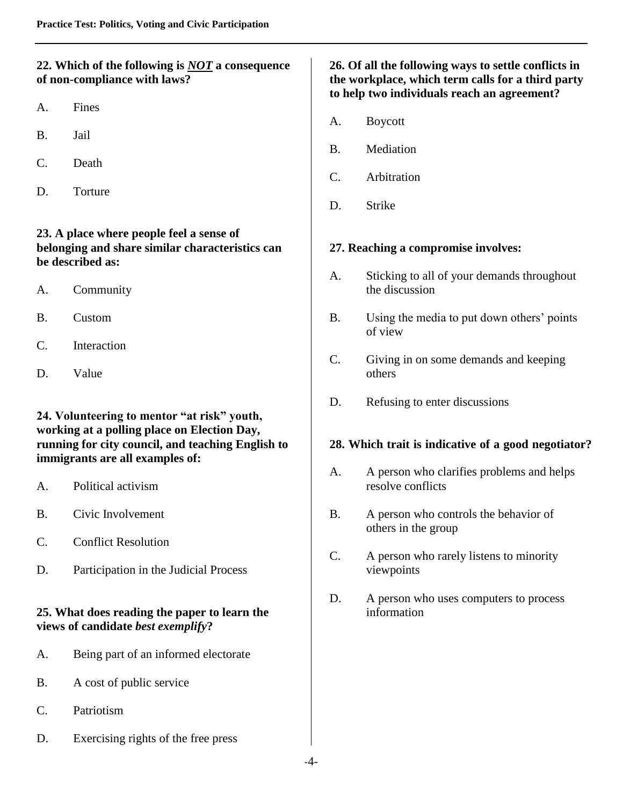### **22. Which of the following is** *NOT* **a consequence of non-compliance with laws?**

- A. Fines
- B. Jail
- C. Death
- D. Torture

### **23. A place where people feel a sense of belonging and share similar characteristics can be described as:**

- A. Community
- B. Custom
- C. Interaction
- D. Value

#### **24. Volunteering to mentor "at risk" youth, working at a polling place on Election Day, running for city council, and teaching English to immigrants are all examples of:**

- A. Political activism
- B. Civic Involvement
- C. Conflict Resolution
- D. Participation in the Judicial Process

### **25. What does reading the paper to learn the views of candidate** *best exemplify***?**

- A. Being part of an informed electorate
- B. A cost of public service
- C. Patriotism
- D. Exercising rights of the free press

### **26. Of all the following ways to settle conflicts in the workplace, which term calls for a third party to help two individuals reach an agreement?**

- A. Boycott
- B. Mediation
- C. Arbitration
- D. Strike

### **27. Reaching a compromise involves:**

- A. Sticking to all of your demands throughout the discussion
- B. Using the media to put down others' points of view
- C. Giving in on some demands and keeping others
- D. Refusing to enter discussions

### **28. Which trait is indicative of a good negotiator?**

- A. A person who clarifies problems and helps resolve conflicts
- B. A person who controls the behavior of others in the group
- C. A person who rarely listens to minority viewpoints
- D. A person who uses computers to process information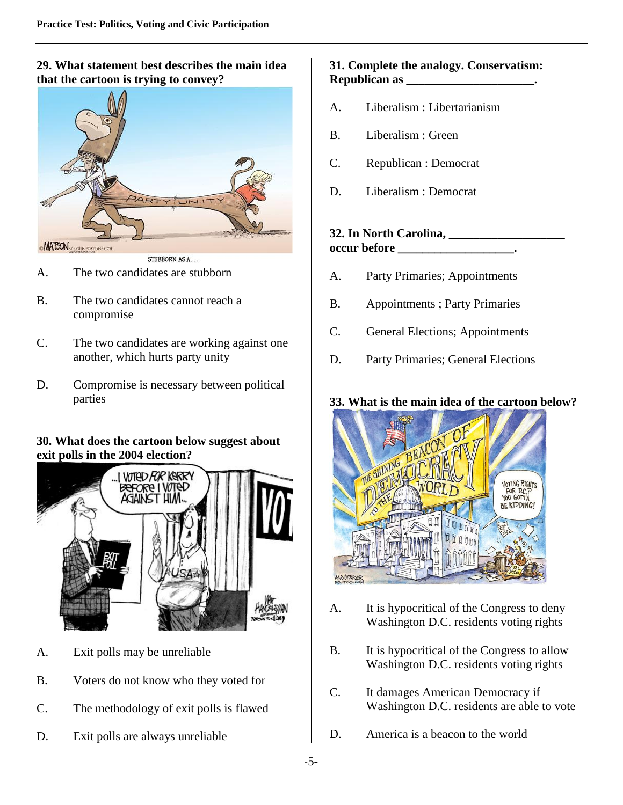## **29. What statement best describes the main idea that the cartoon is trying to convey?**



- A. The two candidates are stubborn
- B. The two candidates cannot reach a compromise
- C. The two candidates are working against one another, which hurts party unity
- D. Compromise is necessary between political parties

### **30. What does the cartoon below suggest about exit polls in the 2004 election?**



- A. Exit polls may be unreliable
- B. Voters do not know who they voted for
- C. The methodology of exit polls is flawed
- D. Exit polls are always unreliable

### **31. Complete the analogy. Conservatism: Republican as** <br> **Republican as**

- A. Liberalism : Libertarianism
- B. Liberalism : Green
- C. Republican : Democrat
- D. Liberalism : Democrat

# **32. In North Carolina, \_\_\_\_\_\_\_\_\_\_\_\_\_\_\_\_\_\_\_**

**occur before**  $\qquad \qquad$ 

- A. Party Primaries; Appointments
- B. Appointments ; Party Primaries
- C. General Elections; Appointments
- D. Party Primaries; General Elections

# **33. What is the main idea of the cartoon below?**



- A. It is hypocritical of the Congress to deny Washington D.C. residents voting rights
- B. It is hypocritical of the Congress to allow Washington D.C. residents voting rights
- C. It damages American Democracy if Washington D.C. residents are able to vote
- D. America is a beacon to the world